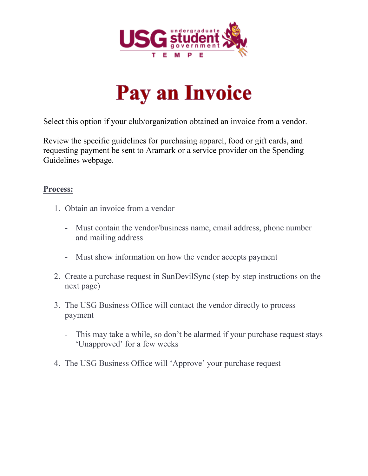



Select this option if your club/organization obtained an invoice from a vendor.

Review the specific guidelines for purchasing apparel, food or gift cards, and requesting payment be sent to Aramark or a service provider on the Spending Guidelines webpage.

#### **Process:**

- 1. Obtain an invoice from a vendor
	- Must contain the vendor/business name, email address, phone number and mailing address
	- Must show information on how the vendor accepts payment
- 2. Create a purchase request in SunDevilSync (step-by-step instructions on the next page)
- 3. The USG Business Office will contact the vendor directly to process payment
	- This may take a while, so don't be alarmed if your purchase request stays 'Unapproved' for a few weeks
- 4. The USG Business Office will 'Approve' your purchase request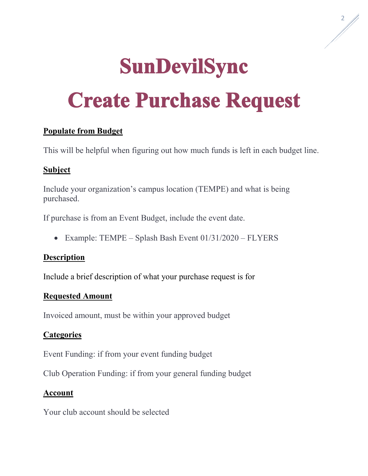# **SunDevilSync Create Purchase Request**

# **Populate from Budget**

This will be helpful when figuring out how much funds is left in each budget line.

## **Subject**

Include your organization's campus location (TEMPE) and what is being purchased.

If purchase is from an Event Budget, include the event date.

• Example: TEMPE – Splash Bash Event 01/31/2020 – FLYERS

#### **Description**

Include a brief description of what your purchase request is for

#### **Requested Amount**

Invoiced amount, must be within your approved budget

## **Categories**

Event Funding: if from your event funding budget

Club Operation Funding: if from your general funding budget

## **Account**

Your club account should be selected

<span id="page-1-0"></span>2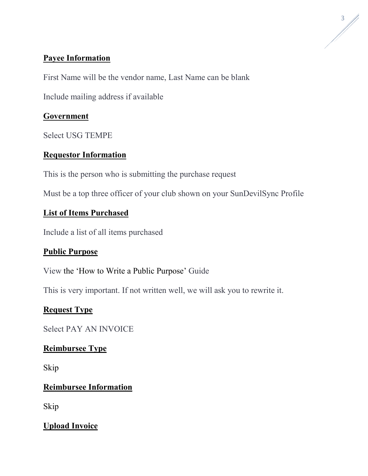## **Payee Information**

First Name will be the vendor name, Last Name can be blank

Include mailing address if available

# **Government**

Select USG TEMPE

# **Requestor Information**

This is the person who is submitting the purchase request

Must be a top three officer of your club shown on your SunDevilSync Profile

# **List of Items Purchased**

Include a list of all items purchased

## **Public Purpose**

View the ['How to Write a Public Purpose'](#page-1-0) Guide

This is very important. If not written well, we will ask you to rewrite it.

# **Request Type**

Select PAY AN INVOICE

# **Reimbursee Type**

Skip

## **Reimbursee Information**

Skip

# **Upload Invoice**

3